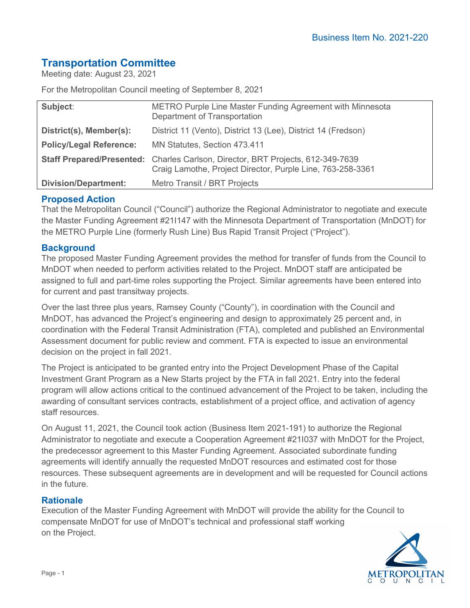# **Transportation Committee**

Meeting date: August 23, 2021

For the Metropolitan Council meeting of September 8, 2021

| Subject:                       | METRO Purple Line Master Funding Agreement with Minnesota<br>Department of Transportation                                                     |
|--------------------------------|-----------------------------------------------------------------------------------------------------------------------------------------------|
| District(s), Member(s):        | District 11 (Vento), District 13 (Lee), District 14 (Fredson)                                                                                 |
| <b>Policy/Legal Reference:</b> | MN Statutes, Section 473.411                                                                                                                  |
|                                | Staff Prepared/Presented: Charles Carlson, Director, BRT Projects, 612-349-7639<br>Craig Lamothe, Project Director, Purple Line, 763-258-3361 |
| <b>Division/Department:</b>    | Metro Transit / BRT Projects                                                                                                                  |

## **Proposed Action**

That the Metropolitan Council ("Council") authorize the Regional Administrator to negotiate and execute the Master Funding Agreement #21I147 with the Minnesota Department of Transportation (MnDOT) for the METRO Purple Line (formerly Rush Line) Bus Rapid Transit Project ("Project").

### **Background**

The proposed Master Funding Agreement provides the method for transfer of funds from the Council to MnDOT when needed to perform activities related to the Project. MnDOT staff are anticipated be assigned to full and part-time roles supporting the Project. Similar agreements have been entered into for current and past transitway projects.

Over the last three plus years, Ramsey County ("County"), in coordination with the Council and MnDOT, has advanced the Project's engineering and design to approximately 25 percent and, in coordination with the Federal Transit Administration (FTA), completed and published an Environmental Assessment document for public review and comment. FTA is expected to issue an environmental decision on the project in fall 2021.

The Project is anticipated to be granted entry into the Project Development Phase of the Capital Investment Grant Program as a New Starts project by the FTA in fall 2021. Entry into the federal program will allow actions critical to the continued advancement of the Project to be taken, including the awarding of consultant services contracts, establishment of a project office, and activation of agency staff resources.

On August 11, 2021, the Council took action (Business Item 2021-191) to authorize the Regional Administrator to negotiate and execute a Cooperation Agreement #21I037 with MnDOT for the Project, the predecessor agreement to this Master Funding Agreement. Associated subordinate funding agreements will identify annually the requested MnDOT resources and estimated cost for those resources. These subsequent agreements are in development and will be requested for Council actions in the future.

### **Rationale**

Execution of the Master Funding Agreement with MnDOT will provide the ability for the Council to compensate MnDOT for use of MnDOT's technical and professional staff working on the Project.